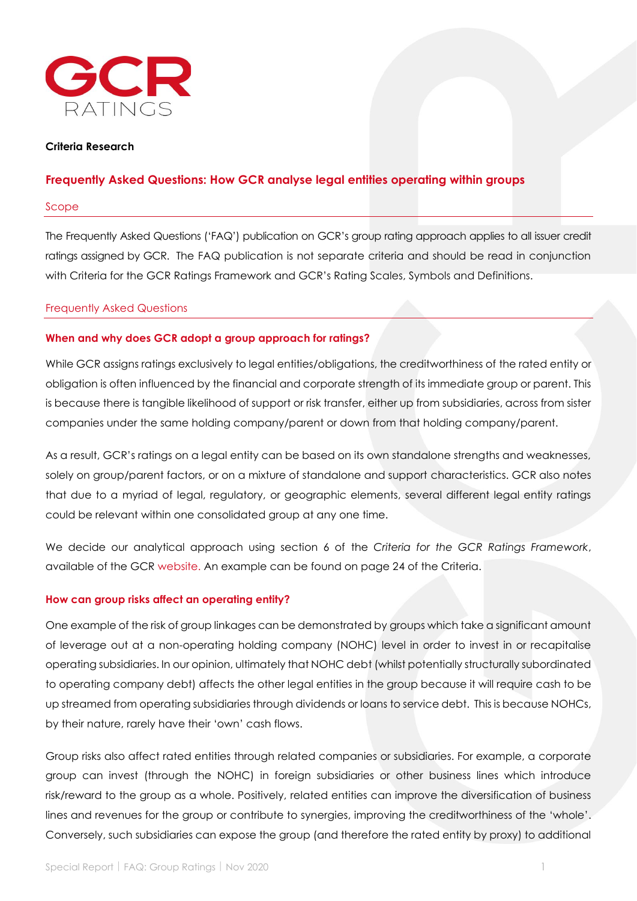

# **Criteria Research**

# **Frequently Asked Questions: How GCR analyse legal entities operating within groups**

#### Scope

The Frequently Asked Questions ('FAQ') publication on GCR's group rating approach applies to all issuer credit ratings assigned by GCR. The FAQ publication is not separate criteria and should be read in conjunction with Criteria for the GCR Ratings Framework and GCR's Rating Scales, Symbols and Definitions.

#### Frequently Asked Questions

### **When and why does GCR adopt a group approach for ratings?**

While GCR assigns ratings exclusively to legal entities/obligations, the creditworthiness of the rated entity or obligation is often influenced by the financial and corporate strength of its immediate group or parent. This is because there is tangible likelihood of support or risk transfer, either up from subsidiaries, across from sister companies under the same holding company/parent or down from that holding company/parent.

As a result, GCR's ratings on a legal entity can be based on its own standalone strengths and weaknesses, solely on group/parent factors, or on a mixture of standalone and support characteristics. GCR also notes that due to a myriad of legal, regulatory, or geographic elements, several different legal entity ratings could be relevant within one consolidated group at any one time.

We decide our analytical approach using section 6 of the *Criteria for the GCR Ratings Framework*, available of the GCR [website.](https://gcrratings.com/criteria/) An example can be found on page 24 of the Criteria.

### **How can group risks affect an operating entity?**

One example of the risk of group linkages can be demonstrated by groups which take a significant amount of leverage out at a non-operating holding company (NOHC) level in order to invest in or recapitalise operating subsidiaries. In our opinion, ultimately that NOHC debt (whilst potentially structurally subordinated to operating company debt) affects the other legal entities in the group because it will require cash to be up streamed from operating subsidiaries through dividends or loans to service debt. This is because NOHCs, by their nature, rarely have their 'own' cash flows.

Group risks also affect rated entities through related companies or subsidiaries. For example, a corporate group can invest (through the NOHC) in foreign subsidiaries or other business lines which introduce risk/reward to the group as a whole. Positively, related entities can improve the diversification of business lines and revenues for the group or contribute to synergies, improving the creditworthiness of the 'whole'. Conversely, such subsidiaries can expose the group (and therefore the rated entity by proxy) to additional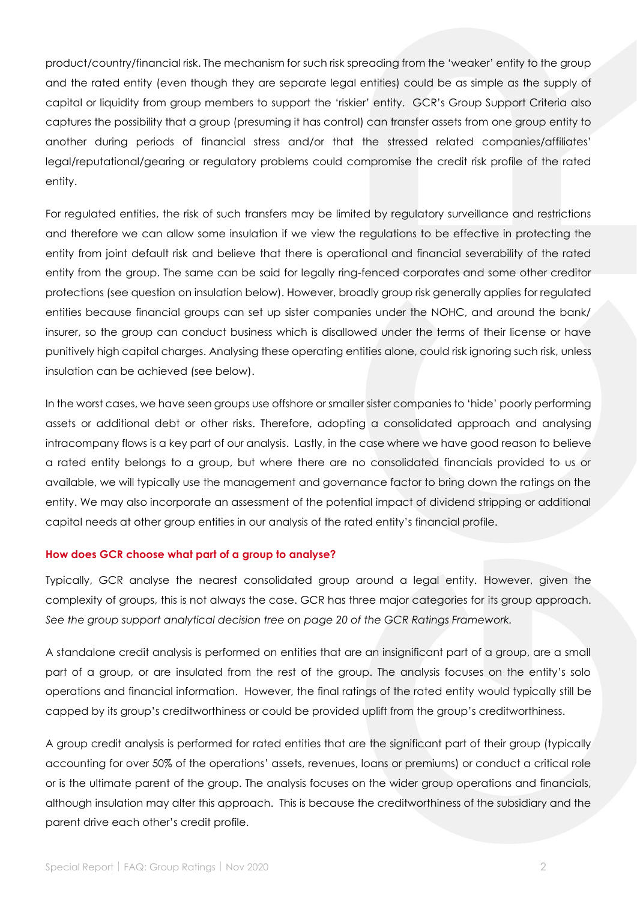product/country/financial risk. The mechanism for such risk spreading from the 'weaker' entity to the group and the rated entity (even though they are separate legal entities) could be as simple as the supply of capital or liquidity from group members to support the 'riskier' entity. GCR's Group Support Criteria also captures the possibility that a group (presuming it has control) can transfer assets from one group entity to another during periods of financial stress and/or that the stressed related companies/affiliates' legal/reputational/gearing or regulatory problems could compromise the credit risk profile of the rated entity.

For regulated entities, the risk of such transfers may be limited by regulatory surveillance and restrictions and therefore we can allow some insulation if we view the regulations to be effective in protecting the entity from joint default risk and believe that there is operational and financial severability of the rated entity from the group. The same can be said for legally ring-fenced corporates and some other creditor protections (see question on insulation below). However, broadly group risk generally applies for regulated entities because financial groups can set up sister companies under the NOHC, and around the bank/ insurer, so the group can conduct business which is disallowed under the terms of their license or have punitively high capital charges. Analysing these operating entities alone, could risk ignoring such risk, unless insulation can be achieved (see below).

In the worst cases, we have seen groups use offshore or smaller sister companies to 'hide' poorly performing assets or additional debt or other risks. Therefore, adopting a consolidated approach and analysing intracompany flows is a key part of our analysis. Lastly, in the case where we have good reason to believe a rated entity belongs to a group, but where there are no consolidated financials provided to us or available, we will typically use the management and governance factor to bring down the ratings on the entity. We may also incorporate an assessment of the potential impact of dividend stripping or additional capital needs at other group entities in our analysis of the rated entity's financial profile.

### **How does GCR choose what part of a group to analyse?**

Typically, GCR analyse the nearest consolidated group around a legal entity. However, given the complexity of groups, this is not always the case. GCR has three major categories for its group approach. *See the group support analytical decision tree on page 20 of the GCR Ratings Framework.*

A standalone credit analysis is performed on entities that are an insignificant part of a group, are a small part of a group, or are insulated from the rest of the group. The analysis focuses on the entity's solo operations and financial information. However, the final ratings of the rated entity would typically still be capped by its group's creditworthiness or could be provided uplift from the group's creditworthiness.

A group credit analysis is performed for rated entities that are the significant part of their group (typically accounting for over 50% of the operations' assets, revenues, loans or premiums) or conduct a critical role or is the ultimate parent of the group. The analysis focuses on the wider group operations and financials, although insulation may alter this approach. This is because the creditworthiness of the subsidiary and the parent drive each other's credit profile.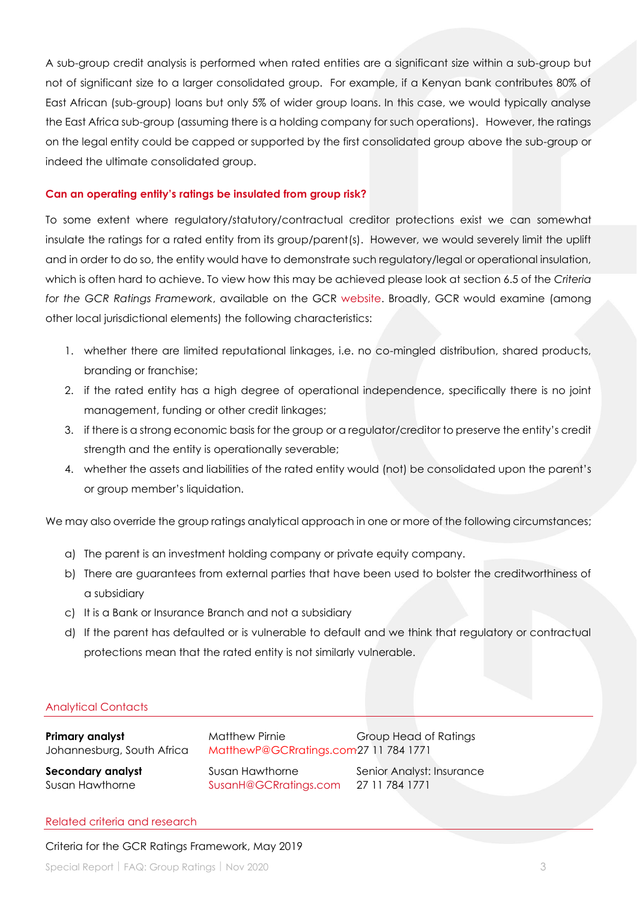A sub-group credit analysis is performed when rated entities are a significant size within a sub-group but not of significant size to a larger consolidated group. For example, if a Kenyan bank contributes 80% of East African (sub-group) loans but only 5% of wider group loans. In this case, we would typically analyse the East Africa sub-group (assuming there is a holding company for such operations). However, the ratings on the legal entity could be capped or supported by the first consolidated group above the sub-group or indeed the ultimate consolidated group.

# **Can an operating entity's ratings be insulated from group risk?**

To some extent where regulatory/statutory/contractual creditor protections exist we can somewhat insulate the ratings for a rated entity from its group/parent(s). However, we would severely limit the uplift and in order to do so, the entity would have to demonstrate such regulatory/legal or operational insulation, which is often hard to achieve. To view how this may be achieved please look at section 6.5 of the *Criteria for the GCR Ratings Framework*, available on the GCR [website.](https://gcrratings.com/criteria/) Broadly, GCR would examine (among other local jurisdictional elements) the following characteristics:

- 1. whether there are limited reputational linkages, i.e. no co-mingled distribution, shared products, branding or franchise;
- 2. if the rated entity has a high degree of operational independence, specifically there is no joint management, funding or other credit linkages;
- 3. if there is a strong economic basis for the group or a regulator/creditor to preserve the entity's credit strength and the entity is operationally severable;
- 4. whether the assets and liabilities of the rated entity would (not) be consolidated upon the parent's or group member's liquidation.

We may also override the group ratings analytical approach in one or more of the following circumstances;

- a) The parent is an investment holding company or private equity company.
- b) There are guarantees from external parties that have been used to bolster the creditworthiness of a subsidiary
- c) It is a Bank or Insurance Branch and not a subsidiary
- d) If the parent has defaulted or is vulnerable to default and we think that regulatory or contractual protections mean that the rated entity is not similarly vulnerable.

# Analytical Contacts

| Primary analyst<br>Johannesburg, South Africa | Matthew Pirnie<br>MatthewP@GCRratings.com27 11 784 1771 | Group Head of Ratings     |
|-----------------------------------------------|---------------------------------------------------------|---------------------------|
| <b>Secondary analyst</b>                      | Susan Hawthorne                                         | Senior Analyst: Insurance |
| Susan Hawthorne                               | SusanH@GCRratings.com                                   | 27 11 784 1771            |

#### Related criteria and research

### Criteria for the GCR Ratings Framework, May 2019